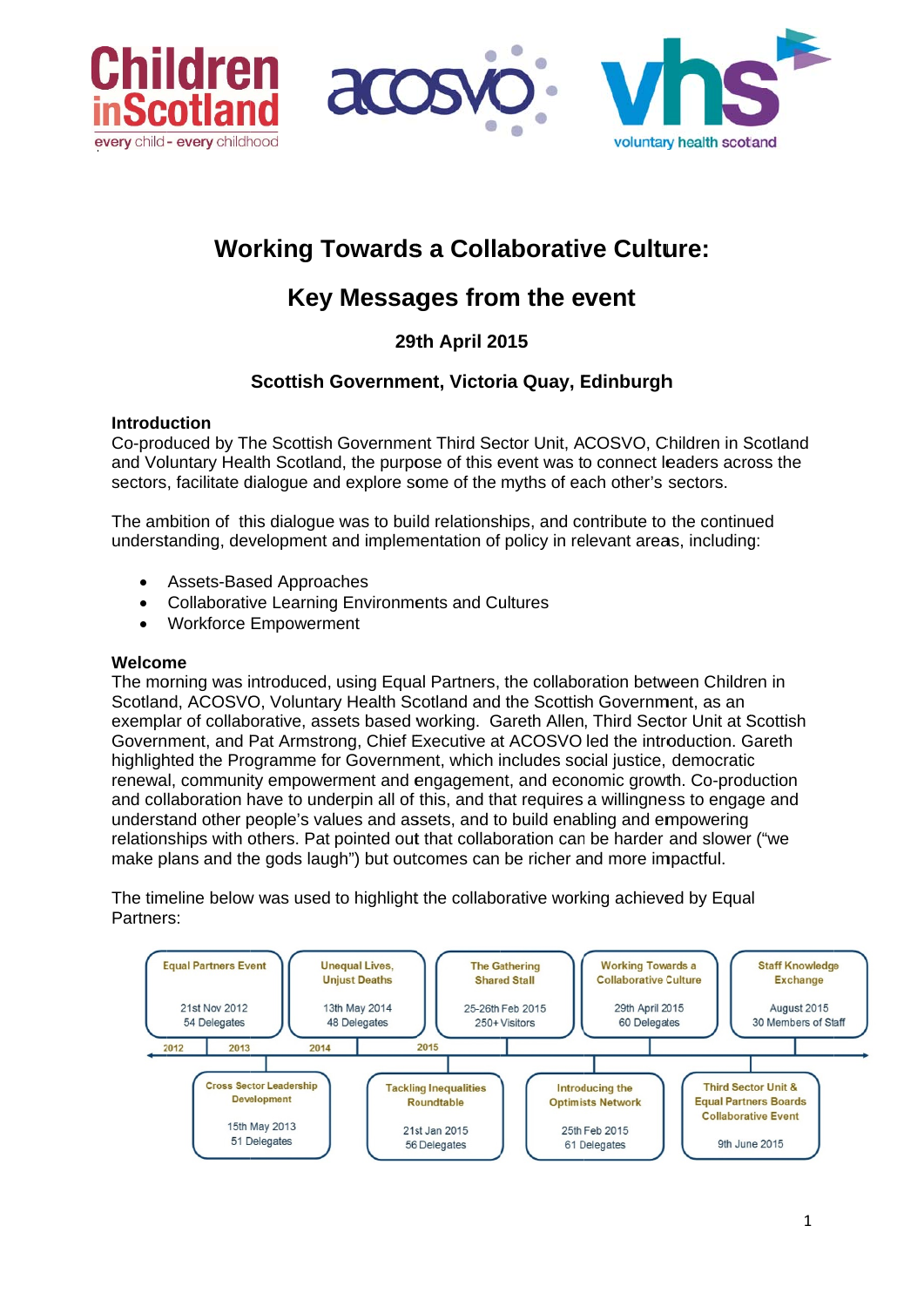



# **Working Towards a Collaborative Culture:**

# Key Messages from the event

# **29th April 2015**

# Scottish Government, Victoria Quay, Edinburgh

# **Introduction**

Co-produced by The Scottish Government Third Sector Unit, ACOSVO, Children in Scotland and Voluntary Health Scotland, the purpose of this event was to connect leaders across the sectors, facilitate dialogue and explore some of the myths of each other's sectors.

The ambition of this dialogue was to build relationships, and contribute to the continued understanding, development and implementation of policy in relevant areas, including:

- **Assets-Based Approaches**  $\bullet$
- **Collaborative Learning Environments and Cultures**  $\bullet$
- **Workforce Empowerment**

## Welcome

The morning was introduced, using Equal Partners, the collaboration between Children in Scotland, ACOSVO, Voluntary Health Scotland and the Scottish Government, as an exemplar of collaborative, assets based working. Gareth Allen, Third Sector Unit at Scottish Government, and Pat Armstrong, Chief Executive at ACOSVO led the introduction. Gareth highlighted the Programme for Government, which includes social justice, democratic renewal, community empowerment and engagement, and economic growth. Co-production and collaboration have to underpin all of this, and that requires a willingness to engage and understand other people's values and assets, and to build enabling and empowering relationships with others. Pat pointed out that collaboration can be harder and slower ("we make plans and the gods laugh") but outcomes can be richer and more impactful.

The timeline below was used to highlight the collaborative working achieved by Equal Partners:

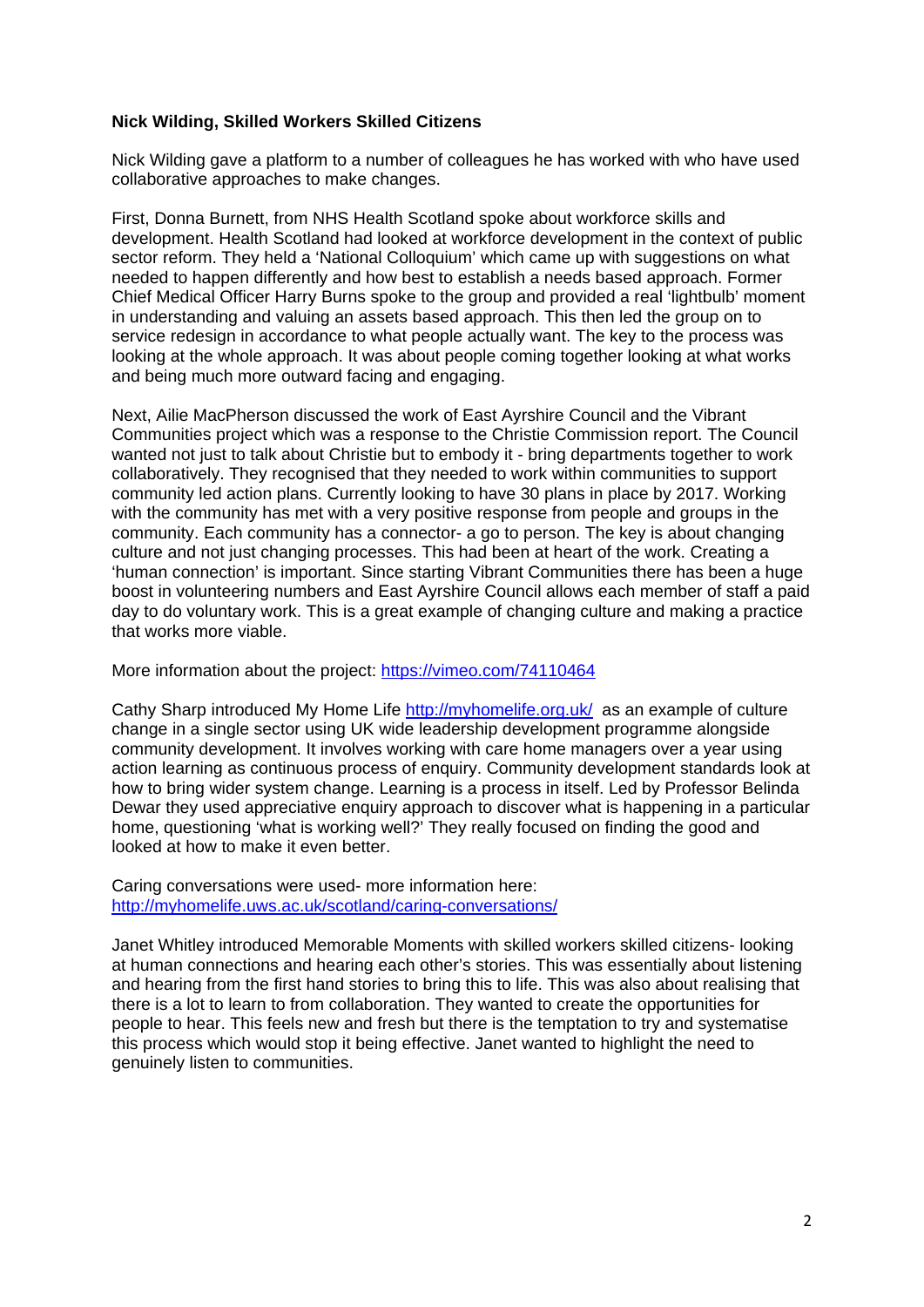#### **Nick Wilding, Skilled Workers Skilled Citizens**

Nick Wilding gave a platform to a number of colleagues he has worked with who have used collaborative approaches to make changes.

First, Donna Burnett, from NHS Health Scotland spoke about workforce skills and development. Health Scotland had looked at workforce development in the context of public sector reform. They held a 'National Colloquium' which came up with suggestions on what needed to happen differently and how best to establish a needs based approach. Former Chief Medical Officer Harry Burns spoke to the group and provided a real 'lightbulb' moment in understanding and valuing an assets based approach. This then led the group on to service redesign in accordance to what people actually want. The key to the process was looking at the whole approach. It was about people coming together looking at what works and being much more outward facing and engaging.

Next, Ailie MacPherson discussed the work of East Ayrshire Council and the Vibrant Communities project which was a response to the Christie Commission report. The Council wanted not just to talk about Christie but to embody it - bring departments together to work collaboratively. They recognised that they needed to work within communities to support community led action plans. Currently looking to have 30 plans in place by 2017. Working with the community has met with a very positive response from people and groups in the community. Each community has a connector- a go to person. The key is about changing culture and not just changing processes. This had been at heart of the work. Creating a 'human connection' is important. Since starting Vibrant Communities there has been a huge boost in volunteering numbers and East Ayrshire Council allows each member of staff a paid day to do voluntary work. This is a great example of changing culture and making a practice that works more viable.

More information about the project: https://vimeo.com/74110464

Cathy Sharp introduced My Home Life http://myhomelife.org.uk/ as an example of culture change in a single sector using UK wide leadership development programme alongside community development. It involves working with care home managers over a year using action learning as continuous process of enquiry. Community development standards look at how to bring wider system change. Learning is a process in itself. Led by Professor Belinda Dewar they used appreciative enquiry approach to discover what is happening in a particular home, questioning 'what is working well?' They really focused on finding the good and looked at how to make it even better.

Caring conversations were used- more information here: http://myhomelife.uws.ac.uk/scotland/caring-conversations/

Janet Whitley introduced Memorable Moments with skilled workers skilled citizens- looking at human connections and hearing each other's stories. This was essentially about listening and hearing from the first hand stories to bring this to life. This was also about realising that there is a lot to learn to from collaboration. They wanted to create the opportunities for people to hear. This feels new and fresh but there is the temptation to try and systematise this process which would stop it being effective. Janet wanted to highlight the need to genuinely listen to communities.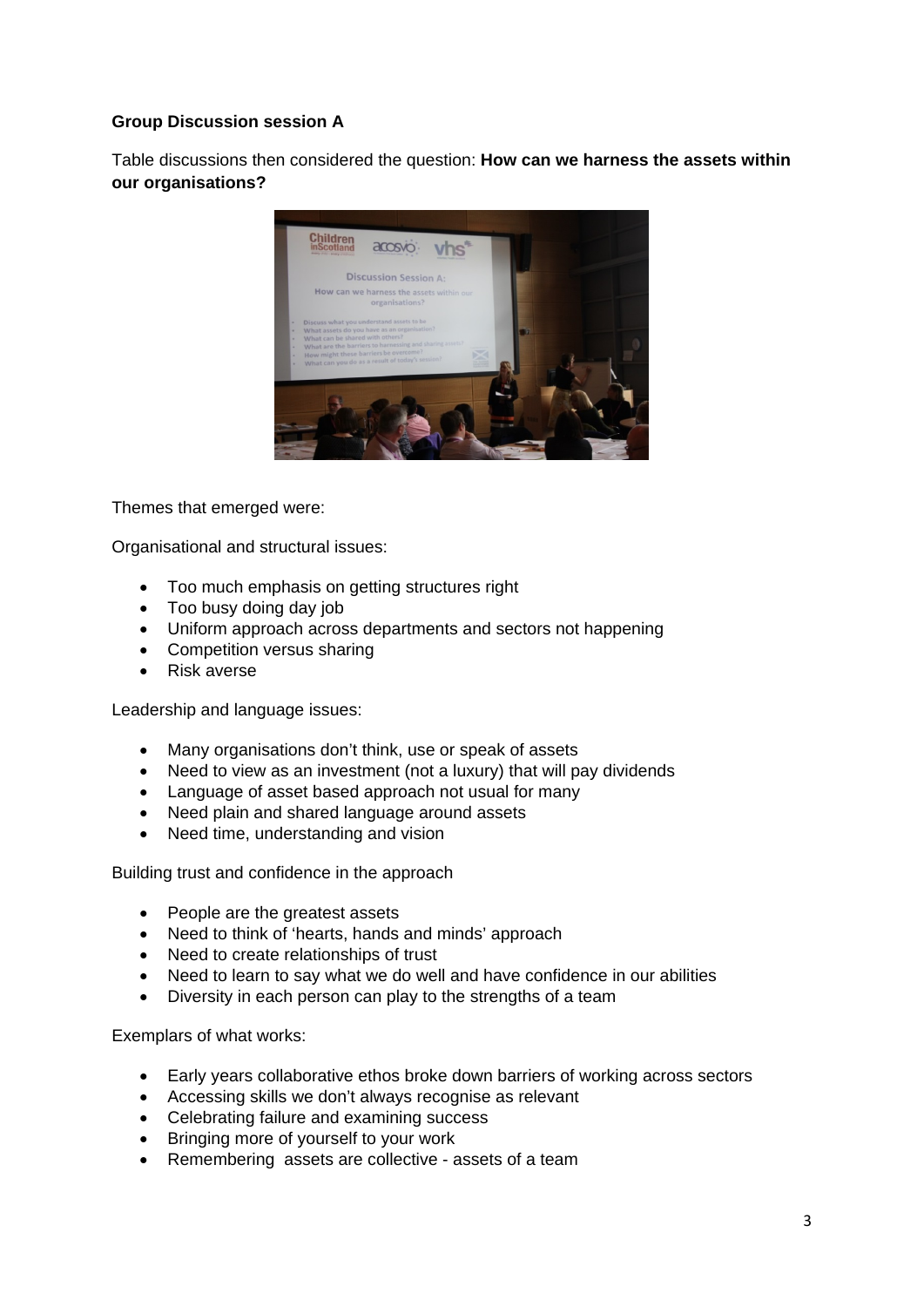# **Group Discussion session A**

Table discussions then considered the question: **How can we harness the assets within our organisations?** 



Themes that emerged were:

Organisational and structural issues:

- Too much emphasis on getting structures right
- Too busy doing day job
- Uniform approach across departments and sectors not happening
- Competition versus sharing
- Risk averse

Leadership and language issues:

- Many organisations don't think, use or speak of assets
- Need to view as an investment (not a luxury) that will pay dividends
- Language of asset based approach not usual for many
- Need plain and shared language around assets
- Need time, understanding and vision

Building trust and confidence in the approach

- People are the greatest assets
- Need to think of 'hearts, hands and minds' approach
- Need to create relationships of trust
- Need to learn to say what we do well and have confidence in our abilities
- Diversity in each person can play to the strengths of a team

Exemplars of what works:

- Early years collaborative ethos broke down barriers of working across sectors
- Accessing skills we don't always recognise as relevant
- Celebrating failure and examining success
- Bringing more of yourself to your work
- Remembering assets are collective assets of a team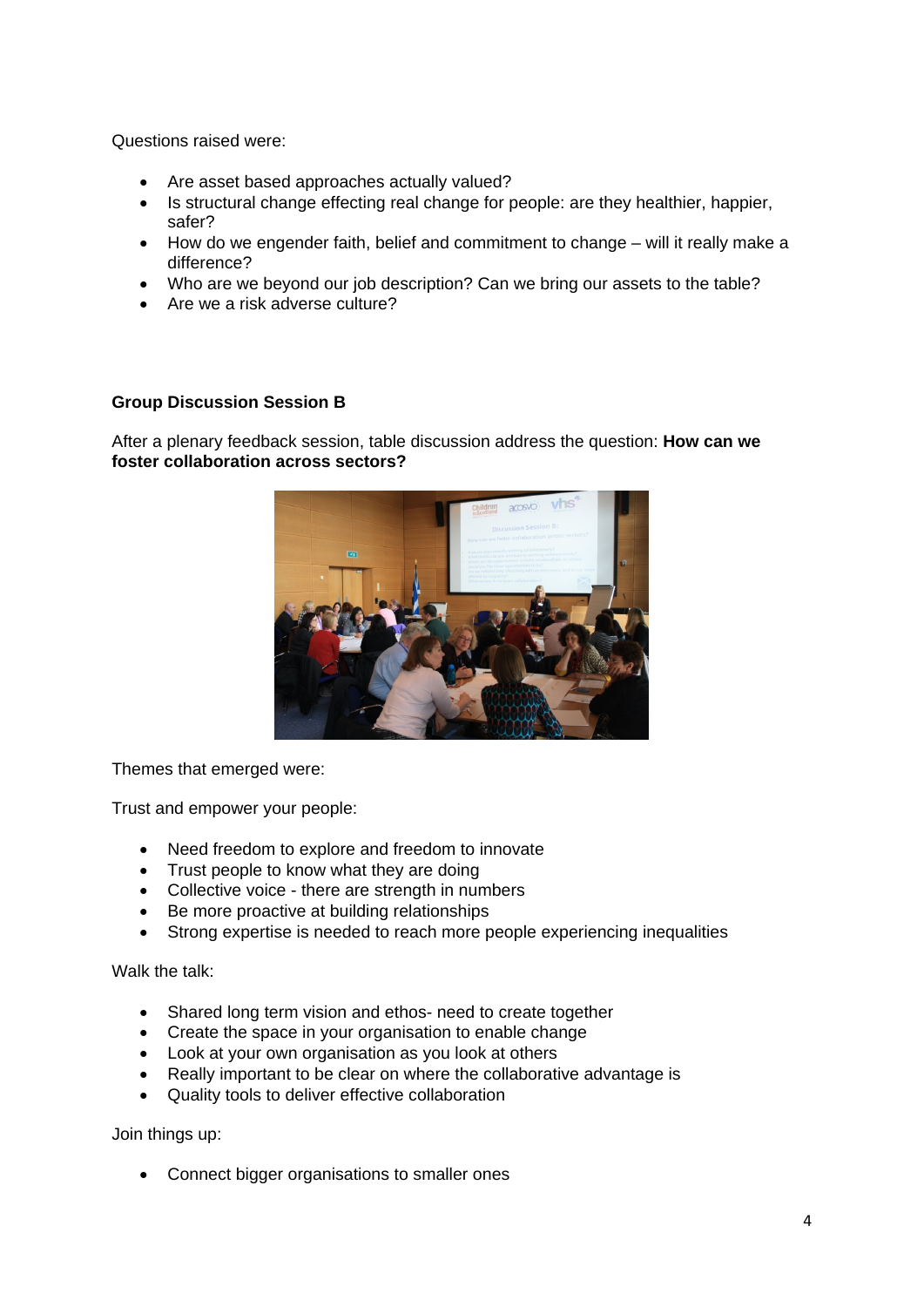Questions raised were:

- Are asset based approaches actually valued?
- Is structural change effecting real change for people: are they healthier, happier, safer?
- How do we engender faith, belief and commitment to change will it really make a difference?
- Who are we beyond our job description? Can we bring our assets to the table?
- Are we a risk adverse culture?

## **Group Discussion Session B**

After a plenary feedback session, table discussion address the question: **How can we foster collaboration across sectors?** 



Themes that emerged were:

Trust and empower your people:

- Need freedom to explore and freedom to innovate
- Trust people to know what they are doing
- Collective voice there are strength in numbers
- Be more proactive at building relationships
- Strong expertise is needed to reach more people experiencing inequalities

Walk the talk:

- Shared long term vision and ethos- need to create together
- Create the space in your organisation to enable change
- Look at your own organisation as you look at others
- Really important to be clear on where the collaborative advantage is
- Quality tools to deliver effective collaboration

Join things up:

• Connect bigger organisations to smaller ones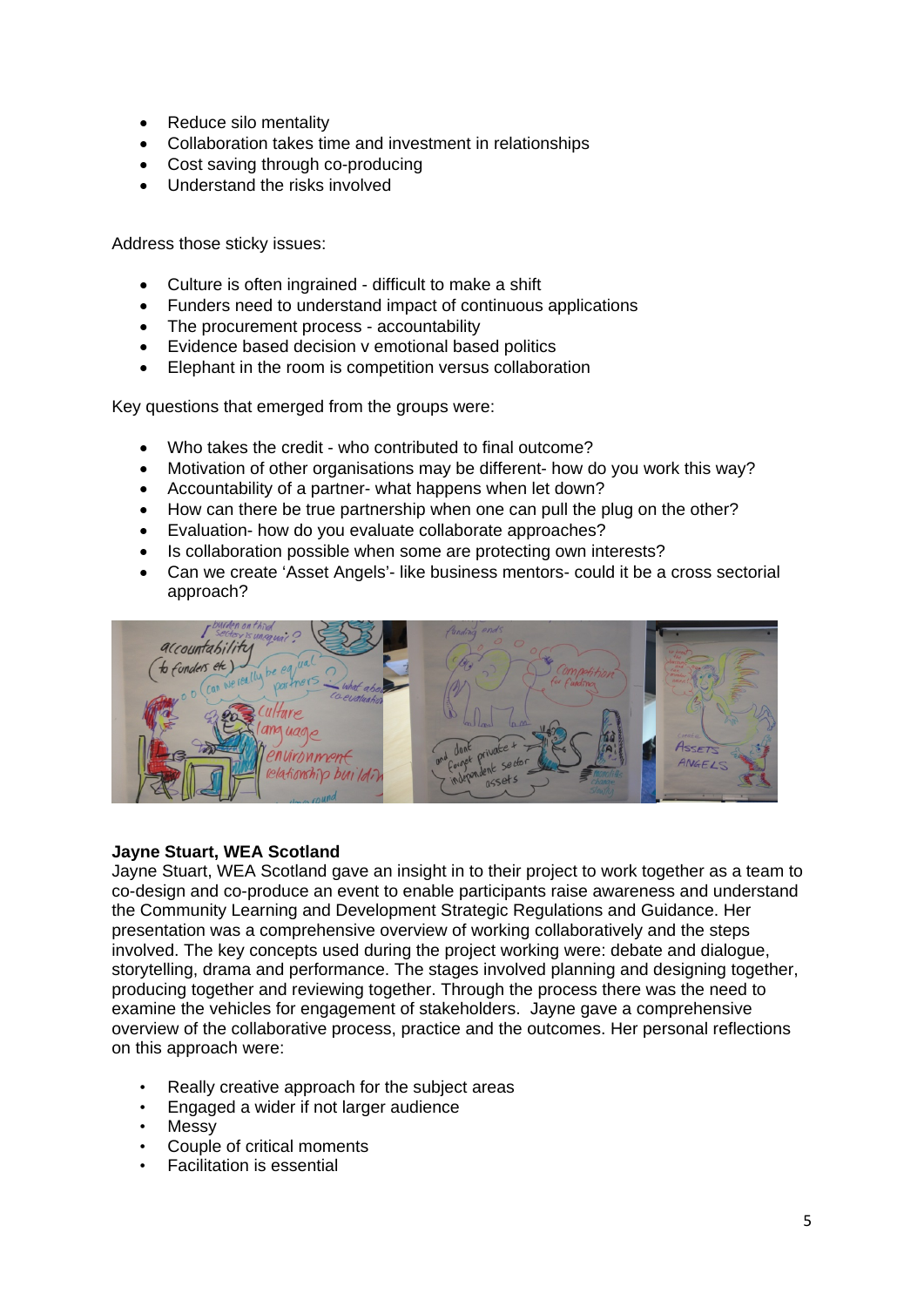- Reduce silo mentality
- Collaboration takes time and investment in relationships
- Cost saving through co-producing
- Understand the risks involved

Address those sticky issues:

- Culture is often ingrained difficult to make a shift
- Funders need to understand impact of continuous applications
- The procurement process accountability
- Evidence based decision v emotional based politics
- Elephant in the room is competition versus collaboration

Key questions that emerged from the groups were:

- Who takes the credit who contributed to final outcome?
- Motivation of other organisations may be different- how do you work this way?
- Accountability of a partner- what happens when let down?
- How can there be true partnership when one can pull the plug on the other?
- Evaluation- how do you evaluate collaborate approaches?
- Is collaboration possible when some are protecting own interests?
- Can we create 'Asset Angels'- like business mentors- could it be a cross sectorial approach?



## **Jayne Stuart, WEA Scotland**

Jayne Stuart, WEA Scotland gave an insight in to their project to work together as a team to co-design and co-produce an event to enable participants raise awareness and understand the Community Learning and Development Strategic Regulations and Guidance. Her presentation was a comprehensive overview of working collaboratively and the steps involved. The key concepts used during the project working were: debate and dialogue, storytelling, drama and performance. The stages involved planning and designing together, producing together and reviewing together. Through the process there was the need to examine the vehicles for engagement of stakeholders. Jayne gave a comprehensive overview of the collaborative process, practice and the outcomes. Her personal reflections on this approach were:

- Really creative approach for the subject areas
- Engaged a wider if not larger audience
- Messy
- Couple of critical moments
- Facilitation is essential